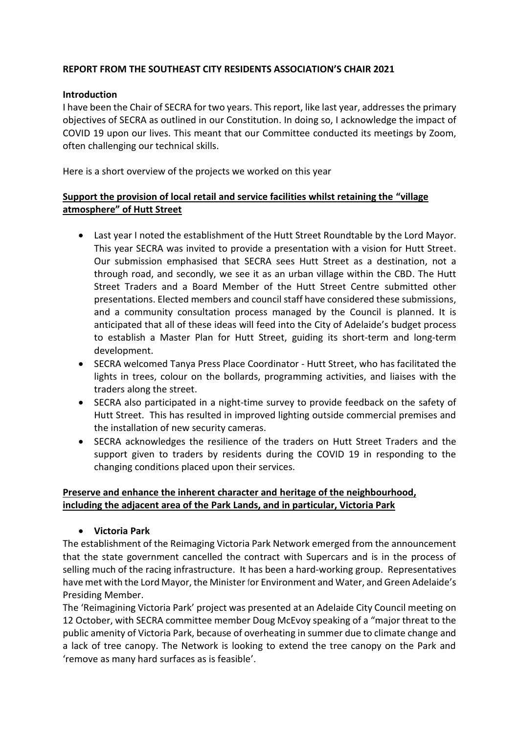### **REPORT FROM THE SOUTHEAST CITY RESIDENTS ASSOCIATION'S CHAIR 2021**

#### **Introduction**

I have been the Chair of SECRA for two years. This report, like last year, addresses the primary objectives of SECRA as outlined in our Constitution. In doing so, I acknowledge the impact of COVID 19 upon our lives. This meant that our Committee conducted its meetings by Zoom, often challenging our technical skills.

Here is a short overview of the projects we worked on this year

### **Support the provision of local retail and service facilities whilst retaining the "village atmosphere" of Hutt Street**

- Last year I noted the establishment of the Hutt Street Roundtable by the Lord Mayor. This year SECRA was invited to provide a presentation with a vision for Hutt Street. Our submission emphasised that SECRA sees Hutt Street as a destination, not a through road, and secondly, we see it as an urban village within the CBD. The Hutt Street Traders and a Board Member of the Hutt Street Centre submitted other presentations. Elected members and council staff have considered these submissions, and a community consultation process managed by the Council is planned. It is anticipated that all of these ideas will feed into the City of Adelaide's budget process to establish a Master Plan for Hutt Street, guiding its short-term and long-term development.
- SECRA welcomed Tanya Press Place Coordinator Hutt Street, who has facilitated the lights in trees, colour on the bollards, programming activities, and liaises with the traders along the street.
- SECRA also participated in a night-time survey to provide feedback on the safety of Hutt Street. This has resulted in improved lighting outside commercial premises and the installation of new security cameras.
- SECRA acknowledges the resilience of the traders on Hutt Street Traders and the support given to traders by residents during the COVID 19 in responding to the changing conditions placed upon their services.

### **Preserve and enhance the inherent character and heritage of the neighbourhood, including the adjacent area of the Park Lands, and in particular, Victoria Park**

• **Victoria Park**

The establishment of the Reimaging Victoria Park Network emerged from the announcement that the state government cancelled the contract with Supercars and is in the process of selling much of the racing infrastructure. It has been a hard-working group. Representatives have met with the Lord Mayor, the Minister for Environment and Water, and Green Adelaide's Presiding Member.

The 'Reimagining Victoria Park' project was presented at an Adelaide City Council meeting on 12 October, with SECRA committee member Doug McEvoy speaking of a "major threat to the public amenity of Victoria Park, because of overheating in summer due to climate change and a lack of tree canopy. The Network is looking to extend the tree canopy on the Park and 'remove as many hard surfaces as is feasible'.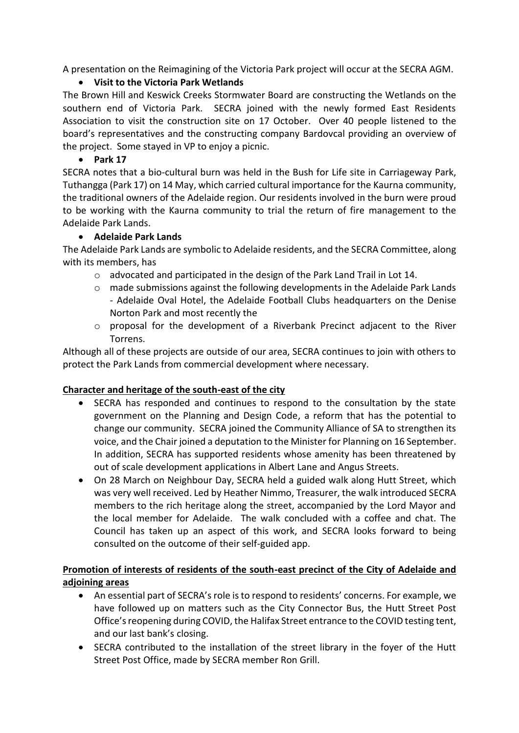A presentation on the Reimagining of the Victoria Park project will occur at the SECRA AGM.

## • **Visit to the Victoria Park Wetlands**

The Brown Hill and Keswick Creeks Stormwater Board are constructing the Wetlands on the southern end of Victoria Park. SECRA joined with the newly formed East Residents Association to visit the construction site on 17 October. Over 40 people listened to the board's representatives and the constructing company Bardovcal providing an overview of the project. Some stayed in VP to enjoy a picnic.

## • **Park 17**

SECRA notes that a bio-cultural burn was held in the Bush for Life site in Carriageway Park, Tuthangga (Park 17) on 14 May, which carried cultural importance for the Kaurna community, the traditional owners of the Adelaide region. Our residents involved in the burn were proud to be working with the Kaurna community to trial the return of fire management to the Adelaide Park Lands.

# • **Adelaide Park Lands**

The Adelaide Park Lands are symbolic to Adelaide residents, and the SECRA Committee, along with its members, has

- o advocated and participated in the design of the Park Land Trail in Lot 14.
- o made submissions against the following developments in the Adelaide Park Lands - Adelaide Oval Hotel, the Adelaide Football Clubs headquarters on the Denise Norton Park and most recently the
- o proposal for the development of a Riverbank Precinct adjacent to the River Torrens.

Although all of these projects are outside of our area, SECRA continues to join with others to protect the Park Lands from commercial development where necessary.

### **Character and heritage of the south-east of the city**

- SECRA has responded and continues to respond to the consultation by the state government on the Planning and Design Code, a reform that has the potential to change our community. SECRA joined the Community Alliance of SA to strengthen its voice, and the Chair joined a deputation to the Minister for Planning on 16 September. In addition, SECRA has supported residents whose amenity has been threatened by out of scale development applications in Albert Lane and Angus Streets.
- On 28 March on Neighbour Day, SECRA held a guided walk along Hutt Street, which was very well received. Led by Heather Nimmo, Treasurer, the walk introduced SECRA members to the rich heritage along the street, accompanied by the Lord Mayor and the local member for Adelaide. The walk concluded with a coffee and chat. The Council has taken up an aspect of this work, and SECRA looks forward to being consulted on the outcome of their self-guided app.

# **Promotion of interests of residents of the south-east precinct of the City of Adelaide and adjoining areas**

- An essential part of SECRA's role is to respond to residents' concerns. For example, we have followed up on matters such as the City Connector Bus, the Hutt Street Post Office's reopening during COVID, the Halifax Street entrance to the COVID testing tent, and our last bank's closing.
- SECRA contributed to the installation of the street library in the foyer of the Hutt Street Post Office, made by SECRA member Ron Grill.